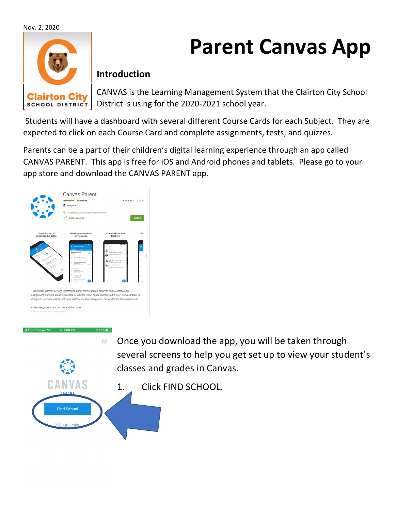Nov. 2, 2020



## Parent Canvas App

## Introduction

CANVAS is the Learning Management System that the Clairton City School school District | District is using for the 2020-2021 school year.

 Students will have a dashboard with several different Course Cards for each Subject. They are expected to click on each Course Card and complete assignments, tests, and quizzes.

Parents can be a part of their children's digital learning experience through an app called CANVAS PARENT. This app is free for iOS and Android phones and tablets. Please go to your app store and download the CANVAS PARENT app.



CANVAS

**Find School** 

- Once you download the app, you will be taken through  $\odot$ several screens to help you get set up to view your student's classes and grades in Canvas.
	- 1. Click FIND SCHOOL.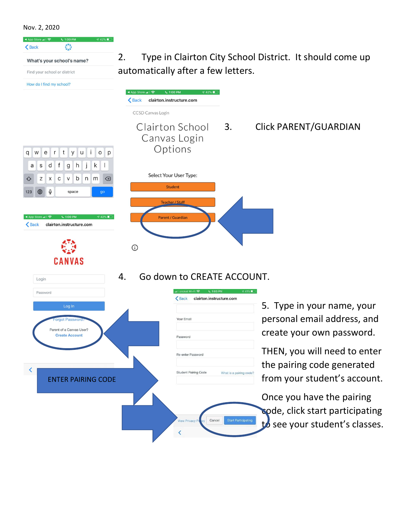Nov. 2, 2020



2. Type in Clairton City School District. It should come up automatically after a few letters.